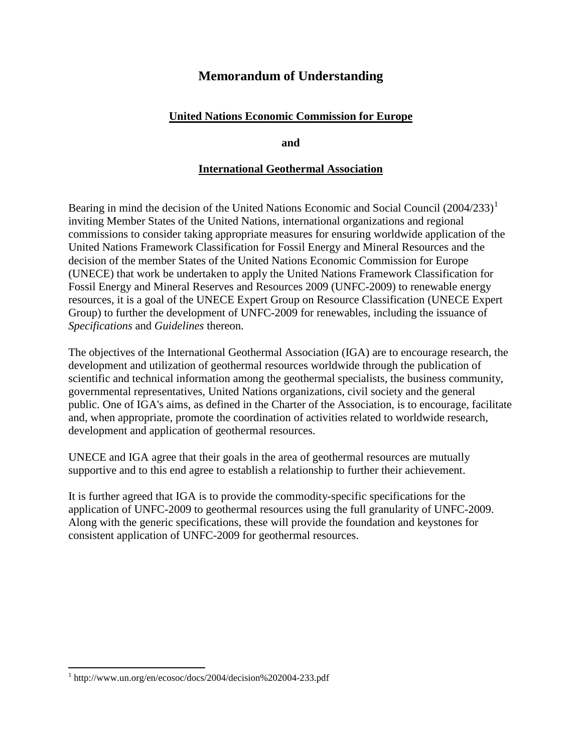# **Memorandum of Understanding**

# **United Nations Economic Commission for Europe**

**and**

### **International Geothermal Association**

Bearing in mind the decision of the United Nations Economic and Social Council  $(2004/233)^1$  $(2004/233)^1$ inviting Member States of the United Nations, international organizations and regional commissions to consider taking appropriate measures for ensuring worldwide application of the United Nations Framework Classification for Fossil Energy and Mineral Resources and the decision of the member States of the United Nations Economic Commission for Europe (UNECE) that work be undertaken to apply the United Nations Framework Classification for Fossil Energy and Mineral Reserves and Resources 2009 (UNFC-2009) to renewable energy resources, it is a goal of the UNECE Expert Group on Resource Classification (UNECE Expert Group) to further the development of UNFC-2009 for renewables, including the issuance of *Specifications* and *Guidelines* thereon.

The objectives of the International Geothermal Association (IGA) are to encourage research, the development and utilization of geothermal resources worldwide through the publication of scientific and technical information among the geothermal specialists, the business community, governmental representatives, United Nations organizations, civil society and the general public. One of IGA's aims, as defined in the Charter of the Association, is to encourage, facilitate and, when appropriate, promote the coordination of activities related to worldwide research, development and application of geothermal resources.

UNECE and IGA agree that their goals in the area of geothermal resources are mutually supportive and to this end agree to establish a relationship to further their achievement.

It is further agreed that IGA is to provide the commodity-specific specifications for the application of UNFC-2009 to geothermal resources using the full granularity of UNFC-2009. Along with the generic specifications, these will provide the foundation and keystones for consistent application of UNFC-2009 for geothermal resources.

 $\overline{a}$ 

<span id="page-0-0"></span><sup>&</sup>lt;sup>1</sup> http://www.un.org/en/ecosoc/docs/2004/decision%202004-233.pdf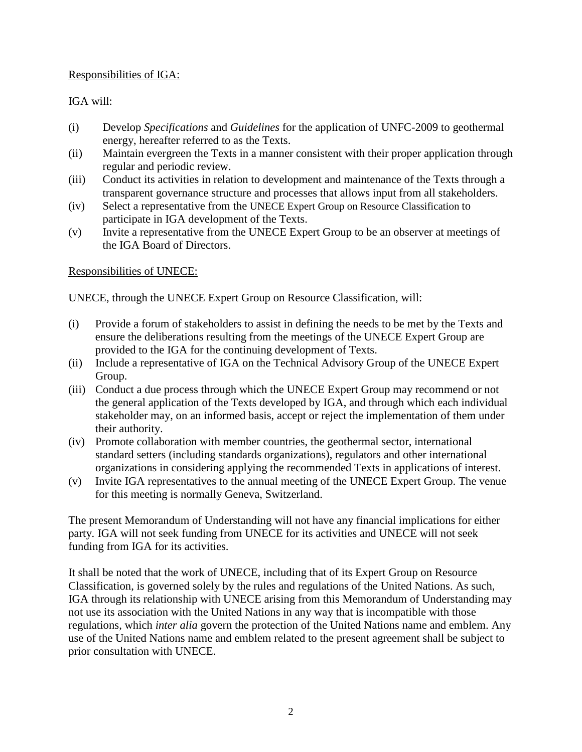### Responsibilities of IGA:

# IGA will:

- (i) Develop *Specifications* and *Guidelines* for the application of UNFC-2009 to geothermal energy, hereafter referred to as the Texts.
- (ii) Maintain evergreen the Texts in a manner consistent with their proper application through regular and periodic review.
- (iii) Conduct its activities in relation to development and maintenance of the Texts through a transparent governance structure and processes that allows input from all stakeholders.
- (iv) Select a representative from the UNECE Expert Group on Resource Classification to participate in IGA development of the Texts.
- (v) Invite a representative from the UNECE Expert Group to be an observer at meetings of the IGA Board of Directors.

Responsibilities of UNECE:

UNECE, through the UNECE Expert Group on Resource Classification, will:

- (i) Provide a forum of stakeholders to assist in defining the needs to be met by the Texts and ensure the deliberations resulting from the meetings of the UNECE Expert Group are provided to the IGA for the continuing development of Texts.
- (ii) Include a representative of IGA on the Technical Advisory Group of the UNECE Expert Group.
- (iii) Conduct a due process through which the UNECE Expert Group may recommend or not the general application of the Texts developed by IGA, and through which each individual stakeholder may, on an informed basis, accept or reject the implementation of them under their authority.
- (iv) Promote collaboration with member countries, the geothermal sector, international standard setters (including standards organizations), regulators and other international organizations in considering applying the recommended Texts in applications of interest.
- (v) Invite IGA representatives to the annual meeting of the UNECE Expert Group. The venue for this meeting is normally Geneva, Switzerland.

The present Memorandum of Understanding will not have any financial implications for either party. IGA will not seek funding from UNECE for its activities and UNECE will not seek funding from IGA for its activities.

It shall be noted that the work of UNECE, including that of its Expert Group on Resource Classification, is governed solely by the rules and regulations of the United Nations. As such, IGA through its relationship with UNECE arising from this Memorandum of Understanding may not use its association with the United Nations in any way that is incompatible with those regulations, which *inter alia* govern the protection of the United Nations name and emblem. Any use of the United Nations name and emblem related to the present agreement shall be subject to prior consultation with UNECE.